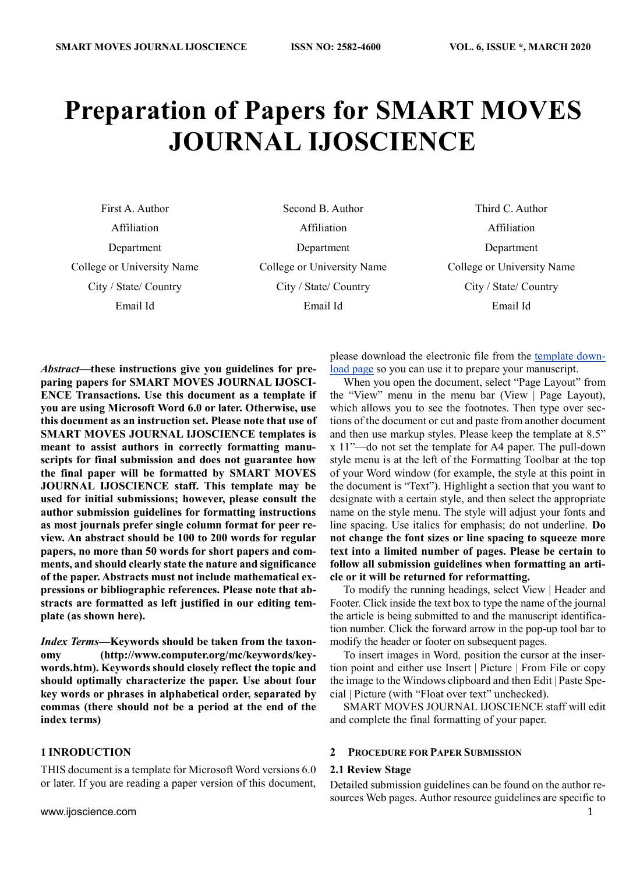# **Preparation of Papers for SMART MOVES JOURNAL IJOSCIENCE**

First A. Author Affiliation Department College or University Name City / State/ Country Email Id

Second B. Author Affiliation Department College or University Name City / State/ Country Email Id

Third C. Author Affiliation Department College or University Name City / State/ Country Email Id

*Abstract***—these instructions give you guidelines for preparing papers for SMART MOVES JOURNAL IJOSCI-ENCE Transactions. Use this document as a template if you are using Microsoft Word 6.0 or later. Otherwise, use this document as an instruction set. Please note that use of SMART MOVES JOURNAL IJOSCIENCE templates is meant to assist authors in correctly formatting manuscripts for final submission and does not guarantee how the final paper will be formatted by SMART MOVES JOURNAL IJOSCIENCE staff. This template may be used for initial submissions; however, please consult the author submission guidelines for formatting instructions as most journals prefer single column format for peer review. An abstract should be 100 to 200 words for regular papers, no more than 50 words for short papers and comments, and should clearly state the nature and significance of the paper. Abstracts must not include mathematical expressions or bibliographic references. Please note that abstracts are formatted as left justified in our editing template (as shown here).**

*Index Terms***—Keywords should be taken from the taxonomy (http://www.computer.org/mc/keywords/keywords.htm). Keywords should closely reflect the topic and should optimally characterize the paper. Use about four key words or phrases in alphabetical order, separated by commas (there should not be a period at the end of the index terms)**

#### **1 INRODUCTION**

THIS document is a template for Microsoft Word versions 6.0 or later. If you are reading a paper version of this document,

please download the electronic file from the [template down](http://www.computer.org/portal/web/peerreviewjournals/author#templates)[load page](http://www.computer.org/portal/web/peerreviewjournals/author#templates) so you can use it to prepare your manuscript.

When you open the document, select "Page Layout" from the "View" menu in the menu bar (View | Page Layout), which allows you to see the footnotes. Then type over sections of the document or cut and paste from another document and then use markup styles. Please keep the template at 8.5" x 11"—do not set the template for A4 paper. The pull-down style menu is at the left of the Formatting Toolbar at the top of your Word window (for example, the style at this point in the document is "Text"). Highlight a section that you want to designate with a certain style, and then select the appropriate name on the style menu. The style will adjust your fonts and line spacing. Use italics for emphasis; do not underline. **Do not change the font sizes or line spacing to squeeze more text into a limited number of pages. Please be certain to follow all submission guidelines when formatting an article or it will be returned for reformatting.** 

To modify the running headings, select View | Header and Footer. Click inside the text box to type the name of the journal the article is being submitted to and the manuscript identification number. Click the forward arrow in the pop-up tool bar to modify the header or footer on subsequent pages.

To insert images in Word*,* position the cursor at the insertion point and either use Insert | Picture | From File or copy the image to the Windows clipboard and then Edit | Paste Special | Picture (with "Float over text" unchecked).

SMART MOVES JOURNAL IJOSCIENCE staff will edit and complete the final formatting of your paper.

# **2 PROCEDURE FOR PAPER SUBMISSION**

# **2.1 Review Stage**

Detailed submission guidelines can be found on the author resources Web pages. Author resource guidelines are specific to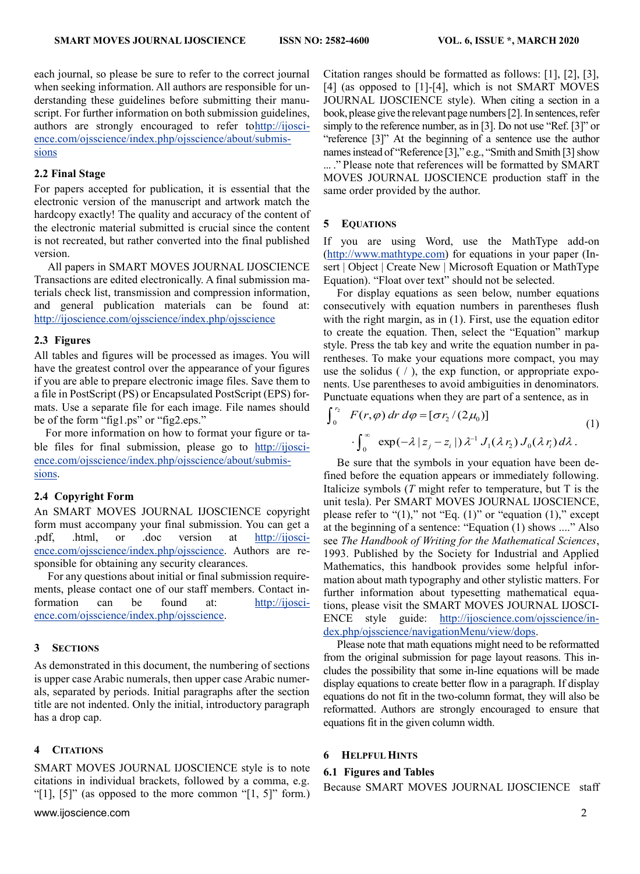each journal, so please be sure to refer to the correct journal when seeking information. All authors are responsible for understanding these guidelines before submitting their manuscript. For further information on both submission guidelines, authors are strongly encouraged to refer t[ohttp://ijosci](http://ijoscience.com/ojsscience/index.php/ojsscience/about/submissions)[ence.com/ojsscience/index.php/ojsscience/about/submis](http://ijoscience.com/ojsscience/index.php/ojsscience/about/submissions)[sions](http://ijoscience.com/ojsscience/index.php/ojsscience/about/submissions)

#### **2.2 Final Stage**

For papers accepted for publication, it is essential that the electronic version of the manuscript and artwork match the hardcopy exactly! The quality and accuracy of the content of the electronic material submitted is crucial since the content is not recreated, but rather converted into the final published version.

All papers in SMART MOVES JOURNAL IJOSCIENCE Transactions are edited electronically. A final submission materials check list, transmission and compression information, and general publication materials can be found at: <http://ijoscience.com/ojsscience/index.php/ojsscience>

#### **2.3 Figures**

All tables and figures will be processed as images. You will have the greatest control over the appearance of your figures if you are able to prepare electronic image files. Save them to a file in PostScript (PS) or Encapsulated PostScript (EPS) formats. Use a separate file for each image. File names should be of the form "fig1.ps" or "fig2.eps."

For more information on how to format your figure or table files for final submission, please go to [http://ijosci](http://ijoscience.com/ojsscience/index.php/ojsscience/about/submissions)[ence.com/ojsscience/index.php/ojsscience/about/submis](http://ijoscience.com/ojsscience/index.php/ojsscience/about/submissions)[sions.](http://ijoscience.com/ojsscience/index.php/ojsscience/about/submissions)

# **2.4 Copyright Form**

An SMART MOVES JOURNAL IJOSCIENCE copyright form must accompany your final submission. You can get a .pdf, .html, or .doc version at [http://ijosci](http://ijoscience.com/ojsscience/index.php/ojsscience)[ence.com/ojsscience/index.php/ojsscience.](http://ijoscience.com/ojsscience/index.php/ojsscience) Authors are responsible for obtaining any security clearances.

For any questions about initial or final submission requirements, please contact one of our staff members. Contact information can be found at: [http://ijosci](http://ijoscience.com/ojsscience/index.php/ojsscience)[ence.com/ojsscience/index.php/ojsscience.](http://ijoscience.com/ojsscience/index.php/ojsscience)

# **3 SECTIONS**

As demonstrated in this document, the numbering of sections is upper case Arabic numerals, then upper case Arabic numerals, separated by periods. Initial paragraphs after the section title are not indented. Only the initial, introductory paragraph has a drop cap.

# **4 CITATIONS**

SMART MOVES JOURNAL IJOSCIENCE style is to note citations in individual brackets, followed by a comma, e.g. "[1],  $[5]$ " (as opposed to the more common "[1, 5]" form.)

[www.ijoscience.com](http://www.ijoscience.com/) 2

Citation ranges should be formatted as follows: [1], [2], [3], [4] (as opposed to [1]-[4], which is not SMART MOVES JOURNAL IJOSCIENCE style). When citing a section in a book, please give the relevant page numbers [2]. In sentences, refer simply to the reference number, as in [3]. Do not use "Ref. [3]" or "reference [3]" At the beginning of a sentence use the author names instead of "Reference [3]," e.g., "Smith and Smith [3] show ... ." Please note that references will be formatted by SMART MOVES JOURNAL IJOSCIENCE production staff in the same order provided by the author.

#### **5 EQUATIONS**

If you are using Word, use the MathType add-on [\(http://www.mathtype.com\)](http://www.mathtype.com/) for equations in your paper (Insert | Object | Create New | Microsoft Equation or MathType Equation). "Float over text" should not be selected.

For display equations as seen below, number equations consecutively with equation numbers in parentheses flush with the right margin, as in (1). First, use the equation editor to create the equation. Then, select the "Equation" markup style. Press the tab key and write the equation number in parentheses. To make your equations more compact, you may use the solidus  $( / )$ , the exp function, or appropriate exponents. Use parentheses to avoid ambiguities in denominators. Punctuate equations when they are part of a sentence, as in

$$
\int_0^{r_2} F(r,\varphi) dr d\varphi = [\sigma r_2 / (2\mu_0)]
$$
  

$$
\int_0^{\infty} \exp(-\lambda |z_j - z_i|) \lambda^{-1} J_1(\lambda r_2) J_0(\lambda r_i) d\lambda.
$$
 (1)

Be sure that the symbols in your equation have been defined before the equation appears or immediately following. Italicize symbols (*T* might refer to temperature, but T is the unit tesla). Per SMART MOVES JOURNAL IJOSCIENCE, please refer to " $(1)$ ," not "Eq.  $(1)$ " or "equation  $(1)$ ," except at the beginning of a sentence: "Equation (1) shows ...." Also see *The Handbook of Writing for the Mathematical Sciences*, 1993. Published by the Society for Industrial and Applied Mathematics, this handbook provides some helpful information about math typography and other stylistic matters. For further information about typesetting mathematical equations, please visit the SMART MOVES JOURNAL IJOSCI-ENCE style guide: [http://ijoscience.com/ojsscience/in](http://ijoscience.com/ojsscience/index.php/ojsscience/navigationMenu/view/dops)[dex.php/ojsscience/navigationMenu/view/dops.](http://ijoscience.com/ojsscience/index.php/ojsscience/navigationMenu/view/dops)

Please note that math equations might need to be reformatted from the original submission for page layout reasons. This includes the possibility that some in-line equations will be made display equations to create better flow in a paragraph. If display equations do not fit in the two-column format, they will also be reformatted. Authors are strongly encouraged to ensure that equations fit in the given column width.

#### **6 HELPFUL HINTS**

#### **6.1 Figures and Tables**

Because SMART MOVES JOURNAL IJOSCIENCE staff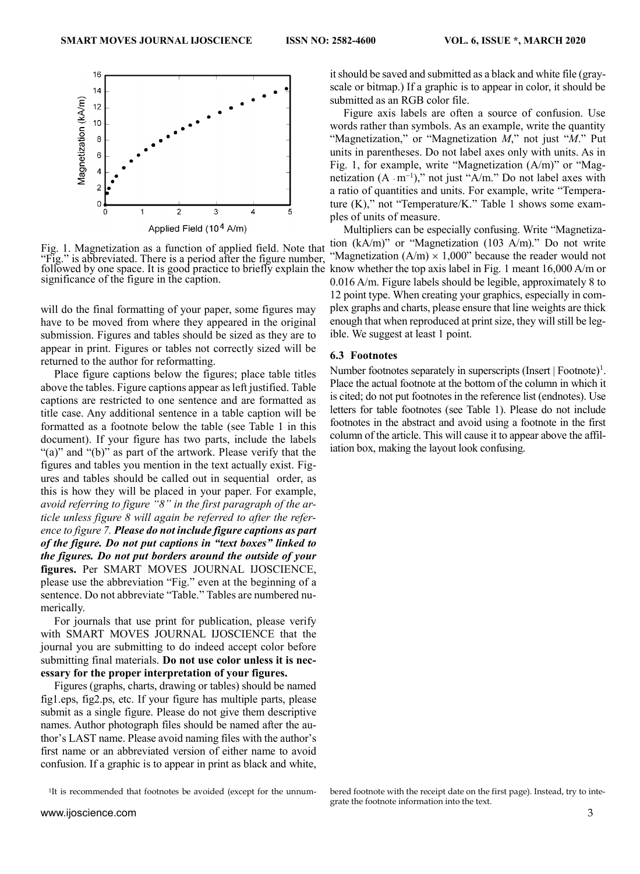

followed by one space. It is good practice to briefly explain the know whether the top axis label in Fig. 1 meant  $16,000$  A/m or Fig. 1. Magnetization as a function of applied field. Note that "Fig." is abbreviated. There is a period after the figure number, significance of the figure in the caption.

will do the final formatting of your paper, some figures may have to be moved from where they appeared in the original submission. Figures and tables should be sized as they are to appear in print. Figures or tables not correctly sized will be returned to the author for reformatting.

Place figure captions below the figures; place table titles above the tables. Figure captions appear as left justified. Table captions are restricted to one sentence and are formatted as title case. Any additional sentence in a table caption will be formatted as a footnote below the table (see Table 1 in this document). If your figure has two parts, include the labels "(a)" and "(b)" as part of the artwork. Please verify that the figures and tables you mention in the text actually exist. Figures and tables should be called out in sequential order, as this is how they will be placed in your paper. For example, *avoid referring to figure "8" in the first paragraph of the article unless figure 8 will again be referred to after the reference to figure 7. Please do not include figure captions as part of the figure. Do not put captions in "text boxes" linked to the figures. Do not put borders around the outside of your* **figures.** Per SMART MOVES JOURNAL IJOSCIENCE, please use the abbreviation "Fig." even at the beginning of a sentence. Do not abbreviate "Table." Tables are numbered numerically.

For journals that use print for publication, please verify with SMART MOVES JOURNAL IJOSCIENCE that the journal you are submitting to do indeed accept color before submitting final materials. **Do not use color unless it is necessary for the proper interpretation of your figures.**

Figures (graphs, charts, drawing or tables) should be named fig1.eps, fig2.ps, etc. If your figure has multiple parts, please submit as a single figure. Please do not give them descriptive names. Author photograph files should be named after the author's LAST name. Please avoid naming files with the author's first name or an abbreviated version of either name to avoid confusion. If a graphic is to appear in print as black and white,

<sup>1</sup>It is recommended that footnotes be avoided (except for the unnum-

it should be saved and submitted as a black and white file (grayscale or bitmap.) If a graphic is to appear in color, it should be submitted as an RGB color file.

Figure axis labels are often a source of confusion. Use words rather than symbols. As an example, write the quantity "Magnetization," or "Magnetization *M*," not just "*M*." Put units in parentheses. Do not label axes only with units. As in Fig. 1, for example, write "Magnetization (A/m)" or "Magnetization  $(A \cdot m^{-1})$ ," not just "A/m." Do not label axes with a ratio of quantities and units. For example, write "Temperature (K)," not "Temperature/K." Table 1 shows some examples of units of measure.

Multipliers can be especially confusing. Write "Magnetization (kA/m)" or "Magnetization (103 A/m)." Do not write "Magnetization  $(A/m) \times 1,000$ " because the reader would not 0.016 A/m. Figure labels should be legible, approximately 8 to 12 point type. When creating your graphics, especially in complex graphs and charts, please ensure that line weights are thick enough that when reproduced at print size, they will still be legible. We suggest at least 1 point.

#### **6.3 Footnotes**

Number footnotes separately in superscripts  $(Insert | Footnote)^1$ . Place the actual footnote at the bottom of the column in which it is cited; do not put footnotes in the reference list (endnotes). Use letters for table footnotes (see Table 1). Please do not include footnotes in the abstract and avoid using a footnote in the first column of the article. This will cause it to appear above the affiliation box, making the layout look confusing.

bered footnote with the receipt date on the first page). Instead, try to integrate the footnote information into the text.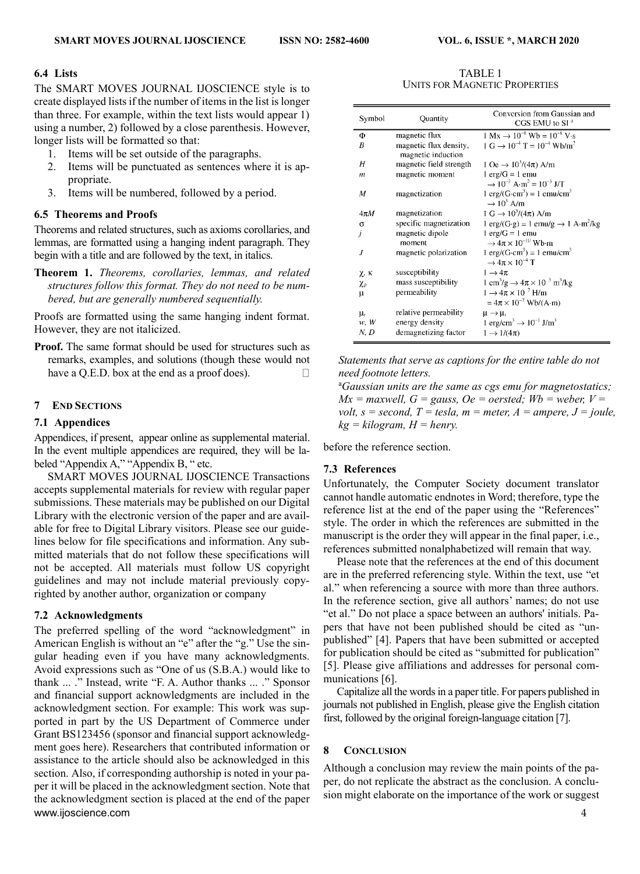# **6.4 Lists**

The SMART MOVES JOURNAL IJOSCIENCE style is to create displayed lists if the number of items in the list is longer than three. For example, within the text lists would appear 1) using a number, 2) followed by a close parenthesis. However, longer lists will be formatted so that:

- 1. Items will be set outside of the paragraphs.
- 2. Items will be punctuated as sentences where it is appropriate.
- 3. Items will be numbered, followed by a period.

# **6.5 Theorems and Proofs**

Theorems and related structures, such as axioms corollaries, and lemmas, are formatted using a hanging indent paragraph. They begin with a title and are followed by the text, in italics.

**Theorem 1.** *Theorems, corollaries, lemmas, and related structures follow this format. They do not need to be numbered, but are generally numbered sequentially.*

Proofs are formatted using the same hanging indent format. However, they are not italicized.

**Proof.** The same format should be used for structures such as remarks, examples, and solutions (though these would not have a Q.E.D. box at the end as a proof does).  $\Box$ 

# **7 END SECTIONS**

# **7.1 Appendices**

Appendices, if present, appear online as supplemental material. In the event multiple appendices are required, they will be labeled "Appendix A," "Appendix B, " etc.

SMART MOVES JOURNAL IJOSCIENCE Transactions accepts supplemental materials for review with regular paper submissions. These materials may be published on our Digital Library with the electronic version of the paper and are available for free to Digital Library visitors. Please see our guidelines below for file specifications and information. Any submitted materials that do not follow these specifications will not be accepted. All materials must follow US copyright guidelines and may not include material previously copyrighted by another author, organization or company

# **7.2 Acknowledgments**

[www.ijoscience.com](http://www.ijoscience.com/) 4 The preferred spelling of the word "acknowledgment" in American English is without an "e" after the "g." Use the singular heading even if you have many acknowledgments. Avoid expressions such as "One of us (S.B.A.) would like to thank ... ." Instead, write "F. A. Author thanks ... ." Sponsor and financial support acknowledgments are included in the acknowledgment section. For example: This work was supported in part by the US Department of Commerce under Grant BS123456 (sponsor and financial support acknowledgment goes here). Researchers that contributed information or assistance to the article should also be acknowledged in this section. Also, if corresponding authorship is noted in your paper it will be placed in the acknowledgment section. Note that the acknowledgment section is placed at the end of the paper

TABLE 1 UNITS FOR MAGNETIC PROPERTIES

| $1 \text{ Mx} \rightarrow 10^{-8} \text{ Wb} = 10^{-8} \text{ V} \cdot \text{s}$<br>magnetic flux<br>Φ<br>$1 \text{ G} \rightarrow 10^{-4} \text{ T} = 10^{-4} \text{ Wb/m}^2$<br>magnetic flux density,<br>B<br>magnetic induction<br>magnetic field strength<br>$1 \text{ Oe} \rightarrow 10^3/(4\pi) \text{ A/m}$<br>Η<br>$l$ erg/ $G = l$ emu<br>magnetic moment<br>m<br>$\rightarrow 10^{-3}$ A·m <sup>2</sup> = $10^{-3}$ J/T<br>$1 \text{ erg}/(G \cdot \text{cm}^3) = 1 \text{ cmu/cm}^3$<br>М<br>magnetization<br>$\rightarrow 10^3$ A/m<br>$1 \text{ G} \rightarrow 10^3/(4\pi) \text{ A/m}$<br>magnetization<br>$4\pi M$<br>specific magnetization<br>σ<br>j<br>$l$ erg/ $G = l$ emu<br>magnetic dipole<br>$\rightarrow$ 4 $\pi \times 10^{-10}$ Wb·m<br>moment<br>$1 \text{ erg}/(G \cdot \text{cm}^3) = 1 \text{ emu/cm}^3$<br>J<br>magnetic polarization<br>$\rightarrow$ 4 $\pi \times 10^{-4}$ T<br>susceptibility<br>$1 \rightarrow 4\pi$<br>χ, κ | Symbol | Quantity            | Conversion from Gaussian and<br>CGS EMU to SI <sup>a</sup>                       |
|--------------------------------------------------------------------------------------------------------------------------------------------------------------------------------------------------------------------------------------------------------------------------------------------------------------------------------------------------------------------------------------------------------------------------------------------------------------------------------------------------------------------------------------------------------------------------------------------------------------------------------------------------------------------------------------------------------------------------------------------------------------------------------------------------------------------------------------------------------------------------------------------------------------------------------------------------------------------|--------|---------------------|----------------------------------------------------------------------------------|
|                                                                                                                                                                                                                                                                                                                                                                                                                                                                                                                                                                                                                                                                                                                                                                                                                                                                                                                                                                    |        |                     |                                                                                  |
|                                                                                                                                                                                                                                                                                                                                                                                                                                                                                                                                                                                                                                                                                                                                                                                                                                                                                                                                                                    |        |                     |                                                                                  |
|                                                                                                                                                                                                                                                                                                                                                                                                                                                                                                                                                                                                                                                                                                                                                                                                                                                                                                                                                                    |        |                     |                                                                                  |
|                                                                                                                                                                                                                                                                                                                                                                                                                                                                                                                                                                                                                                                                                                                                                                                                                                                                                                                                                                    |        |                     |                                                                                  |
|                                                                                                                                                                                                                                                                                                                                                                                                                                                                                                                                                                                                                                                                                                                                                                                                                                                                                                                                                                    |        |                     |                                                                                  |
|                                                                                                                                                                                                                                                                                                                                                                                                                                                                                                                                                                                                                                                                                                                                                                                                                                                                                                                                                                    |        |                     |                                                                                  |
|                                                                                                                                                                                                                                                                                                                                                                                                                                                                                                                                                                                                                                                                                                                                                                                                                                                                                                                                                                    |        |                     |                                                                                  |
|                                                                                                                                                                                                                                                                                                                                                                                                                                                                                                                                                                                                                                                                                                                                                                                                                                                                                                                                                                    |        |                     |                                                                                  |
|                                                                                                                                                                                                                                                                                                                                                                                                                                                                                                                                                                                                                                                                                                                                                                                                                                                                                                                                                                    |        |                     | $1 \text{ erg/(G·g)} = 1 \text{ emu/g} \rightarrow 1 \text{ A·m}^2/\text{kg}$    |
|                                                                                                                                                                                                                                                                                                                                                                                                                                                                                                                                                                                                                                                                                                                                                                                                                                                                                                                                                                    |        |                     |                                                                                  |
|                                                                                                                                                                                                                                                                                                                                                                                                                                                                                                                                                                                                                                                                                                                                                                                                                                                                                                                                                                    |        |                     |                                                                                  |
|                                                                                                                                                                                                                                                                                                                                                                                                                                                                                                                                                                                                                                                                                                                                                                                                                                                                                                                                                                    |        |                     |                                                                                  |
|                                                                                                                                                                                                                                                                                                                                                                                                                                                                                                                                                                                                                                                                                                                                                                                                                                                                                                                                                                    |        |                     |                                                                                  |
|                                                                                                                                                                                                                                                                                                                                                                                                                                                                                                                                                                                                                                                                                                                                                                                                                                                                                                                                                                    |        |                     |                                                                                  |
|                                                                                                                                                                                                                                                                                                                                                                                                                                                                                                                                                                                                                                                                                                                                                                                                                                                                                                                                                                    | χρ     | mass susceptibility | 1 cm <sup>3</sup> /g $\rightarrow$ 4 $\pi$ × 10 <sup>-3</sup> m <sup>3</sup> /kg |
| $1 \rightarrow 4\pi \times 10^{-7}$ H/m<br>permeability<br>$\mu$                                                                                                                                                                                                                                                                                                                                                                                                                                                                                                                                                                                                                                                                                                                                                                                                                                                                                                   |        |                     |                                                                                  |
| $= 4\pi \times 10^{-7}$ Wb/(A·m)                                                                                                                                                                                                                                                                                                                                                                                                                                                                                                                                                                                                                                                                                                                                                                                                                                                                                                                                   |        |                     |                                                                                  |
| relative permeability<br>$\mu_{\rm r}$<br>$\mu \rightarrow \mu_r$                                                                                                                                                                                                                                                                                                                                                                                                                                                                                                                                                                                                                                                                                                                                                                                                                                                                                                  |        |                     |                                                                                  |
| 1 erg/cm <sup>3</sup> $\rightarrow$ 10 <sup>-1</sup> J/m <sup>3</sup><br>energy density<br>w, W                                                                                                                                                                                                                                                                                                                                                                                                                                                                                                                                                                                                                                                                                                                                                                                                                                                                    |        |                     |                                                                                  |
| demagnetizing factor<br>N, D<br>$1 \rightarrow 1/(4\pi)$                                                                                                                                                                                                                                                                                                                                                                                                                                                                                                                                                                                                                                                                                                                                                                                                                                                                                                           |        |                     |                                                                                  |

*Statements that serve as captions for the entire table do not need footnote letters.* 

<sup>a</sup>*Gaussian units are the same as cgs emu for magnetostatics;*   $Mx =$  maxwell,  $G =$  gauss,  $Oe =$  oersted;  $Wb =$  weber,  $V =$ *volt, s = second, T = tesla, m = meter, A = ampere, J = joule,*  $kq = kilogram$ ,  $H = henry$ .

before the reference section.

# **7.3 References**

Unfortunately, the Computer Society document translator cannot handle automatic endnotes in Word; therefore, type the reference list at the end of the paper using the "References" style. The order in which the references are submitted in the manuscript is the order they will appear in the final paper, i.e., references submitted nonalphabetized will remain that way.

Please note that the references at the end of this document are in the preferred referencing style. Within the text, use "et al." when referencing a source with more than three authors. In the reference section, give all authors' names; do not use "et al." Do not place a space between an authors' initials. Papers that have not been published should be cited as "unpublished" [4]. Papers that have been submitted or accepted for publication should be cited as "submitted for publication" [5]. Please give affiliations and addresses for personal communications [6].

Capitalize all the words in a paper title. For papers published in journals not published in English, please give the English citation first, followed by the original foreign-language citation [7].

# **8 CONCLUSION**

Although a conclusion may review the main points of the paper, do not replicate the abstract as the conclusion. A conclusion might elaborate on the importance of the work or suggest